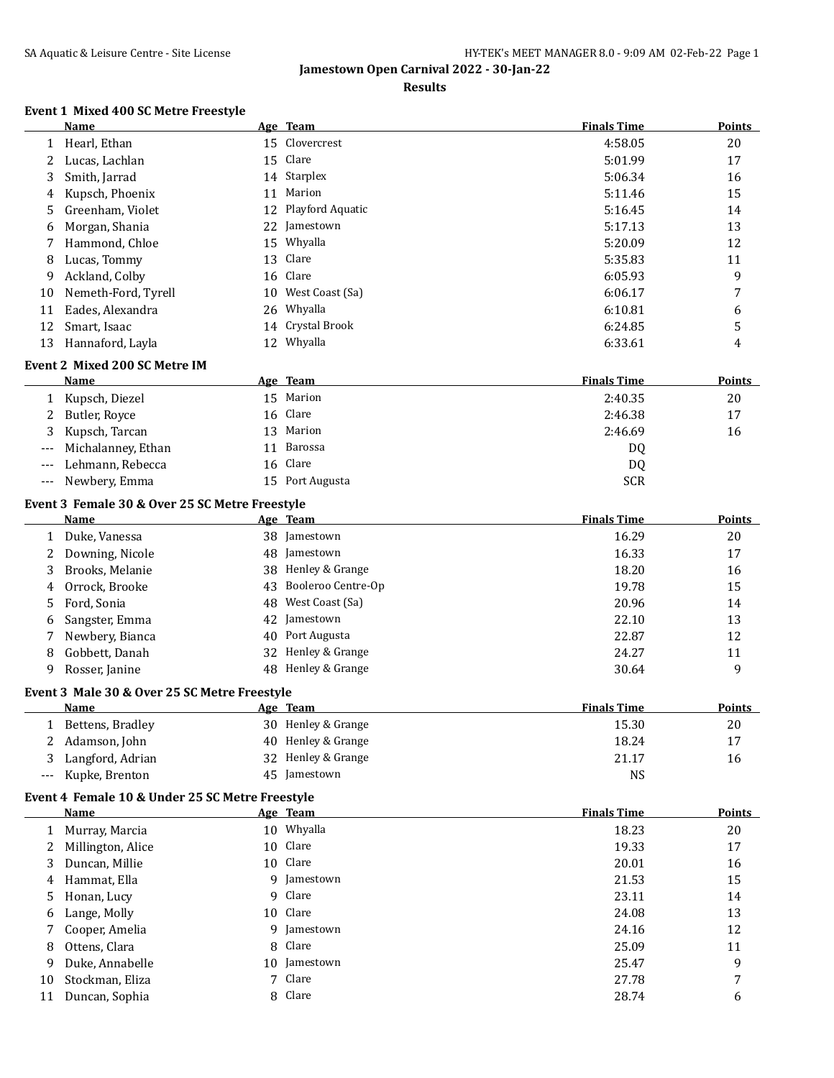#### **Results**

## **Event 1 Mixed 400 SC Metre Freestyle**

|              | Name                                            |    | Age Team           | <b>Finals Time</b> | Points        |
|--------------|-------------------------------------------------|----|--------------------|--------------------|---------------|
| 1            | Hearl, Ethan                                    |    | 15 Clovercrest     | 4:58.05            | 20            |
| 2            | Lucas, Lachlan                                  |    | 15 Clare           | 5:01.99            | 17            |
| 3            | Smith, Jarrad                                   |    | 14 Starplex        | 5:06.34            | 16            |
| 4            | Kupsch, Phoenix                                 | 11 | Marion             | 5:11.46            | 15            |
| 5            | Greenham, Violet                                | 12 | Playford Aquatic   | 5:16.45            | 14            |
| 6            | Morgan, Shania                                  | 22 | Jamestown          | 5:17.13            | 13            |
| 7            | Hammond, Chloe                                  |    | 15 Whyalla         | 5:20.09            | 12            |
| 8            | Lucas, Tommy                                    | 13 | Clare              | 5:35.83            | 11            |
| 9            | Ackland, Colby                                  | 16 | Clare              | 6:05.93            | 9             |
| 10           | Nemeth-Ford, Tyrell                             | 10 | West Coast (Sa)    | 6:06.17            | 7             |
| 11           | Eades, Alexandra                                | 26 | Whyalla            | 6:10.81            | 6             |
| 12           | Smart, Isaac                                    | 14 | Crystal Brook      | 6:24.85            | 5             |
| 13           | Hannaford, Layla                                |    | 12 Whyalla         | 6:33.61            | 4             |
|              | Event 2 Mixed 200 SC Metre IM                   |    |                    |                    |               |
|              | Name                                            |    | Age Team           | <b>Finals Time</b> | Points        |
| 1            | Kupsch, Diezel                                  |    | 15 Marion          | 2:40.35            | 20            |
| 2            | Butler, Royce                                   | 16 | Clare              | 2:46.38            | 17            |
| 3            |                                                 |    | Marion             |                    |               |
|              | Kupsch, Tarcan                                  | 13 |                    | 2:46.69            | 16            |
|              | Michalanney, Ethan                              | 11 | Barossa<br>Clare   | DQ                 |               |
| ---          | Lehmann, Rebecca                                | 16 |                    | DQ                 |               |
| $---$        | Newbery, Emma                                   |    | 15 Port Augusta    | <b>SCR</b>         |               |
|              | Event 3 Female 30 & Over 25 SC Metre Freestyle  |    |                    |                    |               |
|              | Name                                            |    | Age Team           | <b>Finals Time</b> | <b>Points</b> |
| 1            | Duke, Vanessa                                   |    | 38 Jamestown       | 16.29              | 20            |
| 2            | Downing, Nicole                                 | 48 | Jamestown          | 16.33              | 17            |
| 3            | Brooks, Melanie                                 | 38 | Henley & Grange    | 18.20              | 16            |
| 4            | Orrock, Brooke                                  | 43 | Booleroo Centre-Op | 19.78              | 15            |
| 5            | Ford, Sonia                                     | 48 | West Coast (Sa)    | 20.96              | 14            |
| 6            | Sangster, Emma                                  | 42 | Jamestown          | 22.10              | 13            |
| 7            | Newbery, Bianca                                 | 40 | Port Augusta       | 22.87              | 12            |
| 8            | Gobbett, Danah                                  | 32 | Henley & Grange    | 24.27              | 11            |
| 9            | Rosser, Janine                                  | 48 | Henley & Grange    | 30.64              | 9             |
|              | Event 3 Male 30 & Over 25 SC Metre Freestyle    |    |                    |                    |               |
|              | Name                                            |    | Age Team           | <b>Finals Time</b> | Points        |
| $\mathbf{1}$ | Bettens, Bradley                                |    | 30 Henley & Grange | 15.30              | $20\,$        |
| 2            | Adamson, John                                   |    | 40 Henley & Grange | 18.24              | 17            |
| 3            | Langford, Adrian                                |    | 32 Henley & Grange | 21.17              | 16            |
| ---          | Kupke, Brenton                                  |    | 45 Jamestown       | <b>NS</b>          |               |
|              |                                                 |    |                    |                    |               |
|              | Event 4 Female 10 & Under 25 SC Metre Freestyle |    |                    |                    |               |
|              | Name                                            |    | Age Team           | <b>Finals Time</b> | <b>Points</b> |
| 1            | Murray, Marcia                                  |    | 10 Whyalla         | 18.23              | 20            |
| 2            | Millington, Alice                               |    | 10 Clare           | 19.33              | 17            |
| 3            | Duncan, Millie                                  |    | 10 Clare           | 20.01              | 16            |
| 4            | Hammat, Ella                                    |    | 9 Jamestown        | 21.53              | 15            |
| 5.           | Honan, Lucy                                     |    | 9 Clare            | 23.11              | 14            |

6 Lange, Molly 10 Clare 24.08 24.08 13 7 Cooper, Amelia 12 9 Jamestown 9 9 Jamestown 24.16 29.16 8 Ottens, Clara 25.09 25.09 25.09 25.09 25.09 25.09 25.09 25.09 25.09 25.09 25.09 25.09 25.09 25.09 25.09 25.09 25.09 25.09 25.09 25.09 25.09 25.09 25.09 25.09 25.09 25.09 25.09 25.09 25.09 25.09 25.09 25.09 25.09 25.09 25 Duke, Annabelle 10 Jamestown 25.47 9 10 Stockman, Eliza 27.78 7 Clare 27.78 27.78 7 27.78 27.78 27.78 27.78 27.78 27.78 27.78 27.78 27.78 27.78 27.78 27.78 27.78 27.78 27.78 27.78 27.78 27.78 27.78 27.78 27.78 27.78 27.78 27.78 27.78 27.78 27.78 27.78 27.78 2 11 Duncan, Sophia 8 Clare 28.74 6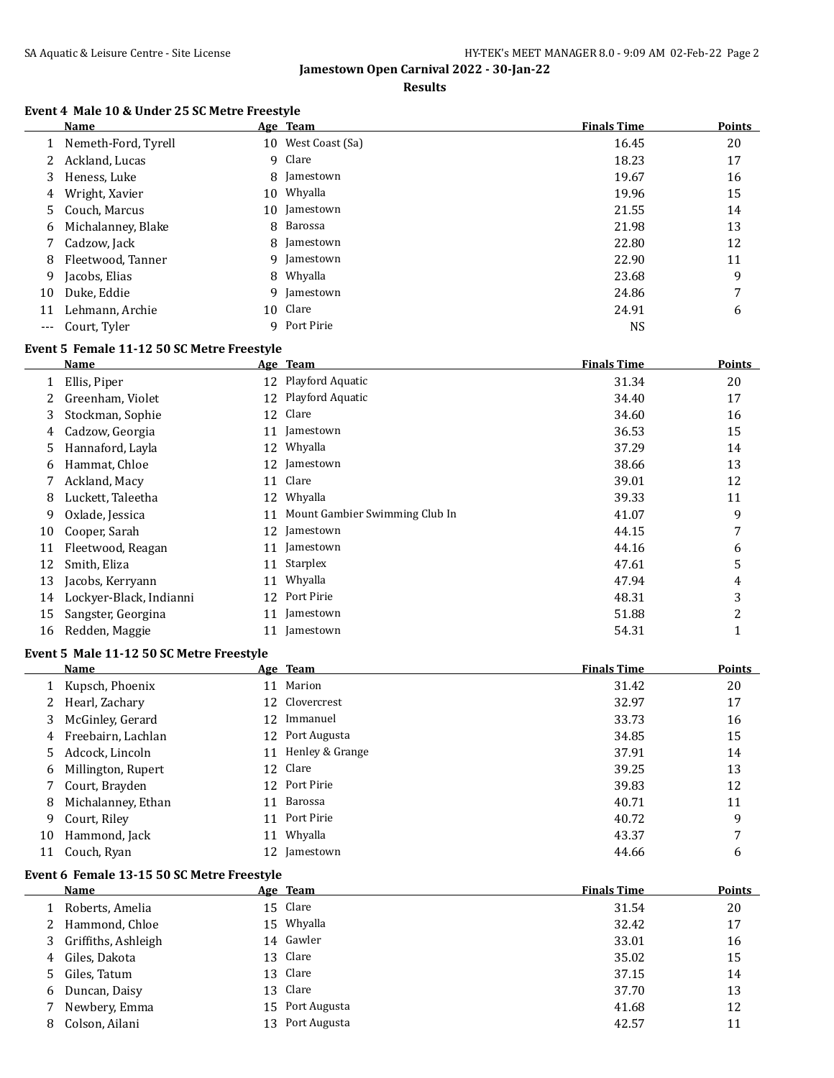$\overline{a}$ 

**Jamestown Open Carnival 2022 - 30-Jan-22**

#### **Results**

## **Event 4 Male 10 & Under 25 SC Metre Freestyle**

|     | Name                |    | Age Team           | <b>Finals Time</b> | <b>Points</b> |
|-----|---------------------|----|--------------------|--------------------|---------------|
|     | Nemeth-Ford, Tyrell |    | 10 West Coast (Sa) | 16.45              | 20            |
| 2   | Ackland, Lucas      |    | 9 Clare            | 18.23              | 17            |
| 3   | Heness, Luke        |    | 8 Jamestown        | 19.67              | 16            |
| 4   | Wright, Xavier      | 10 | Whyalla            | 19.96              | 15            |
| 5.  | Couch, Marcus       | 10 | Jamestown          | 21.55              | 14            |
| 6   | Michalanney, Blake  |    | 8 Barossa          | 21.98              | 13            |
|     | Cadzow, Jack        |    | 8 Jamestown        | 22.80              | 12            |
| 8   | Fleetwood, Tanner   |    | 9 Jamestown        | 22.90              | 11            |
| 9   | Jacobs, Elias       |    | 8 Whyalla          | 23.68              | 9             |
| 10  | Duke, Eddie         |    | 9 Jamestown        | 24.86              | 7             |
| 11  | Lehmann, Archie     | 10 | Clare              | 24.91              | 6             |
| --- | Court, Tyler        |    | 9 Port Pirie       | <b>NS</b>          |               |

### **Event 5 Female 11-12 50 SC Metre Freestyle**

|    | Name                    |    | Age Team                       | <b>Finals Time</b> | <b>Points</b> |
|----|-------------------------|----|--------------------------------|--------------------|---------------|
|    | Ellis, Piper            |    | 12 Playford Aquatic            | 31.34              | 20            |
|    | Greenham, Violet        |    | 12 Playford Aquatic            | 34.40              | 17            |
| 3  | Stockman, Sophie        | 12 | Clare                          | 34.60              | 16            |
| 4  | Cadzow, Georgia         | 11 | Jamestown                      | 36.53              | 15            |
| 5. | Hannaford, Layla        | 12 | Whyalla                        | 37.29              | 14            |
| 6  | Hammat, Chloe           | 12 | Jamestown                      | 38.66              | 13            |
| 7  | Ackland, Macy           | 11 | Clare                          | 39.01              | 12            |
| 8  | Luckett, Taleetha       | 12 | Whyalla                        | 39.33              | 11            |
| 9  | Oxlade, Jessica         | 11 | Mount Gambier Swimming Club In | 41.07              | 9             |
| 10 | Cooper, Sarah           | 12 | Jamestown                      | 44.15              | 7             |
| 11 | Fleetwood, Reagan       | 11 | Jamestown                      | 44.16              | 6             |
| 12 | Smith, Eliza            | 11 | Starplex                       | 47.61              | 5             |
| 13 | Jacobs, Kerryann        | 11 | Whyalla                        | 47.94              | 4             |
| 14 | Lockyer-Black, Indianni | 12 | Port Pirie                     | 48.31              | 3             |
| 15 | Sangster, Georgina      | 11 | Jamestown                      | 51.88              | 2             |
| 16 | Redden, Maggie          |    | Jamestown                      | 54.31              |               |

#### **Event 5 Male 11-12 50 SC Metre Freestyle**

|    | Name               |    | Age Team           | <b>Finals Time</b> | Points |
|----|--------------------|----|--------------------|--------------------|--------|
|    | 1 Kupsch, Phoenix  |    | 11 Marion          | 31.42              | 20     |
|    | 2 Hearl, Zachary   |    | 12 Clovercrest     | 32.97              | 17     |
| 3  | McGinley, Gerard   |    | 12 Immanuel        | 33.73              | 16     |
| 4  | Freebairn, Lachlan |    | 12 Port Augusta    | 34.85              | 15     |
| 5. | Adcock, Lincoln    |    | 11 Henley & Grange | 37.91              | 14     |
| 6  | Millington, Rupert |    | 12 Clare           | 39.25              | 13     |
|    | 7 Court, Brayden   |    | 12 Port Pirie      | 39.83              | 12     |
| 8  | Michalanney, Ethan |    | 11 Barossa         | 40.71              | 11     |
| 9  | Court, Riley       |    | 11 Port Pirie      | 40.72              | 9      |
| 10 | Hammond, Jack      | 11 | Whyalla            | 43.37              | 7      |
| 11 | Couch, Ryan        |    | 12 Jamestown       | 44.66              | 6      |

#### **Event 6 Female 13-15 50 SC Metre Freestyle**

|   | <b>Name</b>           |    | Age Team        | <b>Finals Time</b> | <b>Points</b> |
|---|-----------------------|----|-----------------|--------------------|---------------|
|   | Roberts, Amelia       |    | 15 Clare        | 31.54              | 20            |
|   | 2 Hammond, Chloe      |    | 15 Whyalla      | 32.42              | 17            |
|   | 3 Griffiths, Ashleigh |    | 14 Gawler       | 33.01              | 16            |
|   | 4 Giles, Dakota       |    | 13 Clare        | 35.02              | 15            |
|   | 5 Giles, Tatum        |    | 13 Clare        | 37.15              | 14            |
|   | 6 Duncan, Daisy       |    | 13 Clare        | 37.70              | 13            |
|   | Newbery, Emma         |    | 15 Port Augusta | 41.68              | 12            |
| 8 | Colson, Ailani        | 13 | Port Augusta    | 42.57              | 11            |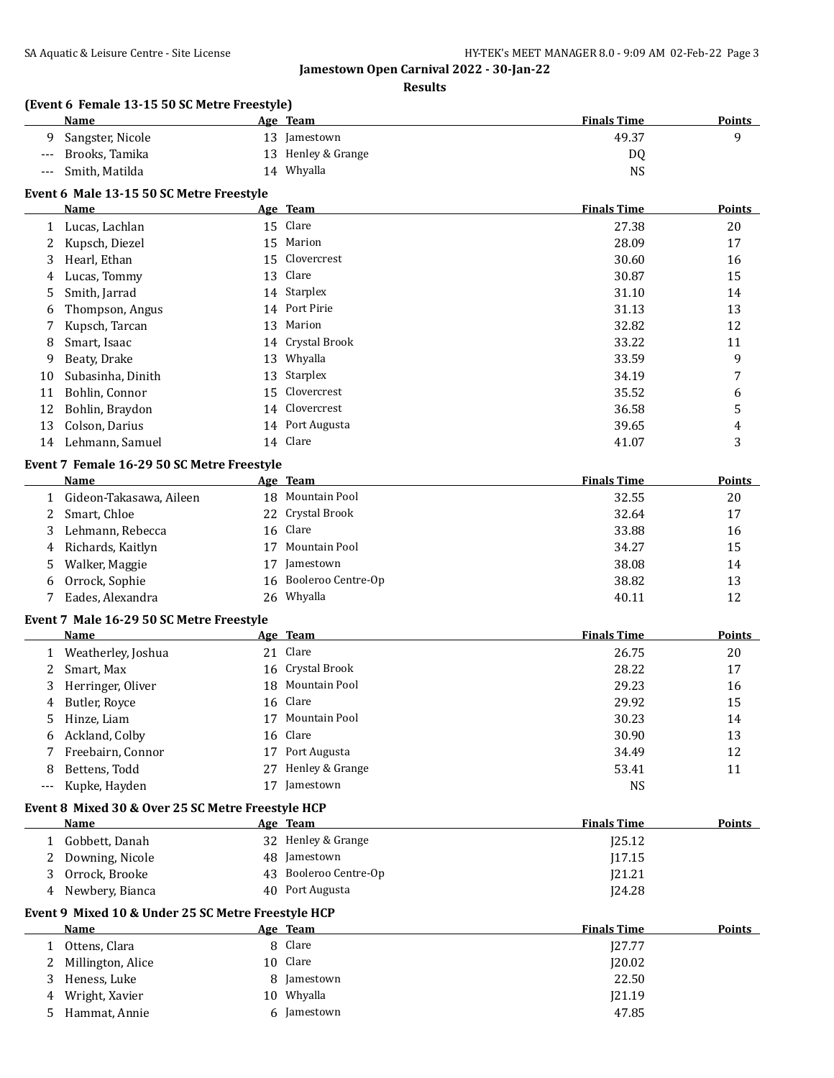#### **Results**

# **(Event 6 Female 13-15 50 SC Metre Freestyle)**

|       | Name             | Age Team           | <b>Finals Time</b> | <b>Points</b> |
|-------|------------------|--------------------|--------------------|---------------|
|       | Sangster, Nicole | 13 Jamestown       | 49.37              |               |
| $---$ | Brooks, Tamika   | 13 Henley & Grange | DQ                 |               |
| $---$ | Smith, Matilda   | 14 Whyalla         | NS                 |               |

#### **Event 6 Male 13-15 50 SC Metre Freestyle**

|              | Name              | Age Team         | <b>Finals Time</b> | <b>Points</b> |
|--------------|-------------------|------------------|--------------------|---------------|
| $\mathbf{1}$ | Lucas, Lachlan    | 15 Clare         | 27.38              | 20            |
|              | Kupsch, Diezel    | 15 Marion        | 28.09              | 17            |
| 3            | Hearl, Ethan      | 15 Clovercrest   | 30.60              | 16            |
| 4            | Lucas, Tommy      | 13 Clare         | 30.87              | 15            |
| 5            | Smith, Jarrad     | 14 Starplex      | 31.10              | 14            |
| 6            | Thompson, Angus   | 14 Port Pirie    | 31.13              | 13            |
| 7            | Kupsch, Tarcan    | 13 Marion        | 32.82              | 12            |
| 8            | Smart, Isaac      | 14 Crystal Brook | 33.22              | 11            |
| 9            | Beaty, Drake      | 13 Whyalla       | 33.59              | 9             |
| 10           | Subasinha, Dinith | 13 Starplex      | 34.19              | 7             |
| 11           | Bohlin, Connor    | 15 Clovercrest   | 35.52              | 6             |
| 12           | Bohlin, Braydon   | 14 Clovercrest   | 36.58              | 5             |
| 13           | Colson, Darius    | 14 Port Augusta  | 39.65              | 4             |
| 14           | Lehmann, Samuel   | 14 Clare         | 41.07              | 3             |

#### **Event 7 Female 16-29 50 SC Metre Freestyle**

|    | Name                    | Age Team              | <b>Finals Time</b> | Points |
|----|-------------------------|-----------------------|--------------------|--------|
|    | Gideon-Takasawa, Aileen | 18 Mountain Pool      | 32.55              | 20     |
|    | 2 Smart, Chloe          | 22 Crystal Brook      | 32.64              | 17     |
| 3. | Lehmann, Rebecca        | 16 Clare              | 33.88              | 16     |
|    | 4 Richards, Kaitlyn     | Mountain Pool         | 34.27              | 15     |
|    | 5 Walker, Maggie        | Jamestown             | 38.08              | 14     |
| 6  | Orrock, Sophie          | 16 Booleroo Centre-Op | 38.82              | 13     |
|    | Eades, Alexandra        | 26 Whyalla            | 40.11              | 12     |

#### **Event 7 Male 16-29 50 SC Metre Freestyle**

 $\overline{a}$ 

|   | Name               |    | Age Team           | <b>Finals Time</b> | <b>Points</b> |
|---|--------------------|----|--------------------|--------------------|---------------|
|   | Weatherley, Joshua |    | 21 Clare           | 26.75              | 20            |
|   | Smart, Max         |    | 16 Crystal Brook   | 28.22              | 17            |
| 3 | Herringer, Oliver  |    | 18 Mountain Pool   | 29.23              | 16            |
| 4 | Butler, Royce      |    | 16 Clare           | 29.92              | 15            |
|   | Hinze, Liam        |    | 17 Mountain Pool   | 30.23              | 14            |
| 6 | Ackland, Colby     |    | 16 Clare           | 30.90              | 13            |
|   | Freebairn, Connor  | 17 | Port Augusta       | 34.49              | 12            |
| 8 | Bettens, Todd      |    | 27 Henley & Grange | 53.41              | 11            |
|   | Kupke, Hayden      |    | Jamestown          | <b>NS</b>          |               |

#### **Event 8 Mixed 30 & Over 25 SC Metre Freestyle HCP**

| Name            | Age Team              | <b>Finals Time</b> | Points |
|-----------------|-----------------------|--------------------|--------|
| Gobbett, Danah  | 32 Henley & Grange    | I25.12             |        |
| Downing, Nicole | 48 Jamestown          | 17.15              |        |
| Orrock, Brooke  | 43 Booleroo Centre-Op | 121.21             |        |
| Newbery, Bianca | 40 Port Augusta       | 124.28             |        |

## **Event 9 Mixed 10 & Under 25 SC Metre Freestyle HCP**

|    | Name                | <u>Age Team</u> | <b>Finals Time</b> | <b>Points</b> |
|----|---------------------|-----------------|--------------------|---------------|
|    | Ottens, Clara       | 8 Clare         | 127.77             |               |
|    | 2 Millington, Alice | 10 Clare        | 120.02             |               |
|    | Heness, Luke        | 8 Jamestown     | 22.50              |               |
|    | 4 Wright, Xavier    | Whyalla<br>10   | [21.19]            |               |
| ь. | Hammat, Annie       | 6 Jamestown     | 47.85              |               |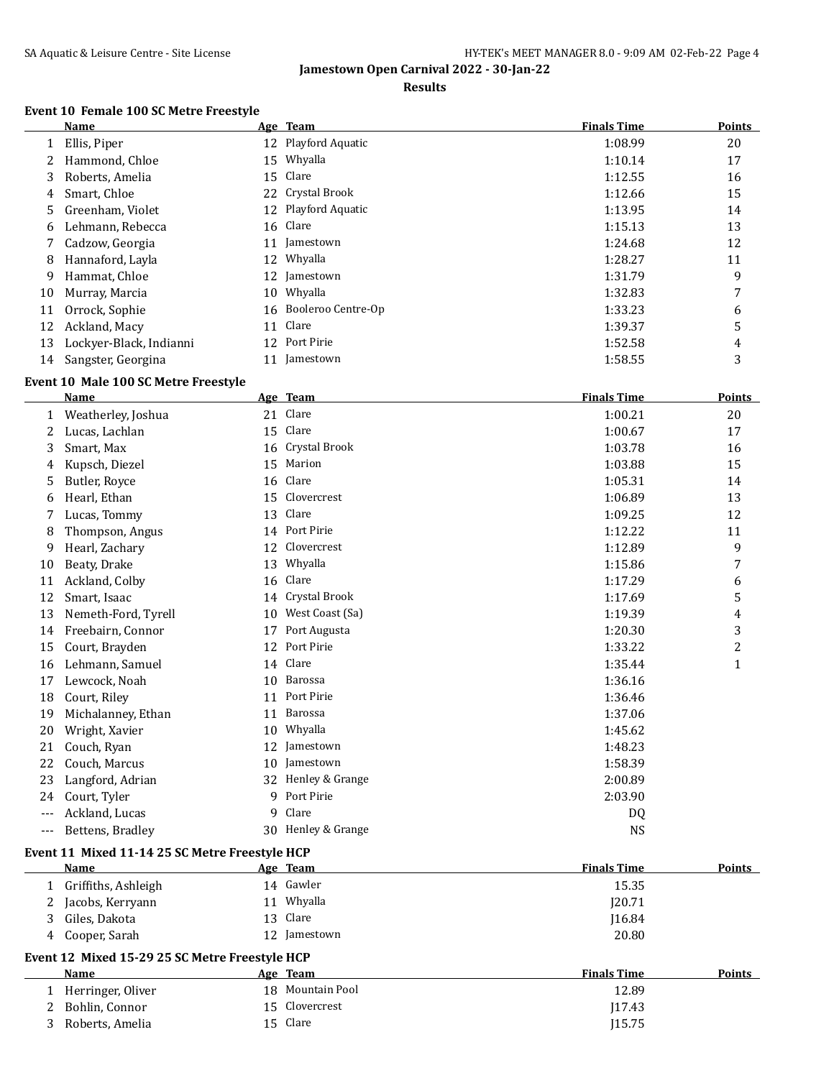#### **Results**

## **Event 10 Female 100 SC Metre Freestyle**

|    | Name                    |    | Age Team              | <b>Finals Time</b> | <b>Points</b> |
|----|-------------------------|----|-----------------------|--------------------|---------------|
|    | Ellis, Piper            |    | 12 Playford Aquatic   | 1:08.99            | 20            |
|    | Hammond, Chloe          |    | 15 Whyalla            | 1:10.14            | 17            |
| 3  | Roberts, Amelia         |    | 15 Clare              | 1:12.55            | 16            |
| 4  | Smart, Chloe            |    | 22 Crystal Brook      | 1:12.66            | 15            |
| 5  | Greenham, Violet        |    | 12 Playford Aquatic   | 1:13.95            | 14            |
| 6  | Lehmann, Rebecca        |    | 16 Clare              | 1:15.13            | 13            |
|    | Cadzow, Georgia         | 11 | Jamestown             | 1:24.68            | 12            |
| 8  | Hannaford, Layla        | 12 | Whyalla               | 1:28.27            | 11            |
| 9  | Hammat, Chloe           | 12 | Jamestown             | 1:31.79            | 9             |
| 10 | Murray, Marcia          | 10 | Whyalla               | 1:32.83            | 7             |
| 11 | Orrock, Sophie          |    | 16 Booleroo Centre-Op | 1:33.23            | 6             |
| 12 | Ackland, Macy           | 11 | Clare                 | 1:39.37            | 5             |
| 13 | Lockyer-Black, Indianni | 12 | Port Pirie            | 1:52.58            | 4             |
| 14 | Sangster, Georgina      |    | Jamestown             | 1:58.55            | 3             |

# **Event 10 Male 100 SC Metre Freestyle**

|       | <b>Name</b>         |                 | Age Team         | <b>Finals Time</b> | <b>Points</b> |
|-------|---------------------|-----------------|------------------|--------------------|---------------|
| 1     | Weatherley, Joshua  |                 | 21 Clare         | 1:00.21            | 20            |
| 2     | Lucas, Lachlan      | 15              | Clare            | 1:00.67            | 17            |
| 3     | Smart, Max          |                 | 16 Crystal Brook | 1:03.78            | 16            |
| 4     | Kupsch, Diezel      | 15              | Marion           | 1:03.88            | 15            |
| 5     | Butler, Royce       | 16              | Clare            | 1:05.31            | 14            |
| 6     | Hearl, Ethan        | 15 <sup>2</sup> | Clovercrest      | 1:06.89            | 13            |
|       | Lucas, Tommy        | 13              | Clare            | 1:09.25            | 12            |
| 8     | Thompson, Angus     |                 | 14 Port Pirie    | 1:12.22            | 11            |
| 9     | Hearl, Zachary      | 12              | Clovercrest      | 1:12.89            | 9             |
| 10    | Beaty, Drake        | 13              | Whyalla          | 1:15.86            | 7             |
| 11    | Ackland, Colby      | 16              | Clare            | 1:17.29            | 6             |
| 12    | Smart, Isaac        | 14              | Crystal Brook    | 1:17.69            | 5             |
| 13    | Nemeth-Ford, Tyrell | 10              | West Coast (Sa)  | 1:19.39            | 4             |
| 14    | Freebairn, Connor   | 17              | Port Augusta     | 1:20.30            | 3             |
| 15    | Court, Brayden      | 12              | Port Pirie       | 1:33.22            | 2             |
| 16    | Lehmann, Samuel     | 14              | Clare            | 1:35.44            | $\mathbf{1}$  |
| 17    | Lewcock, Noah       | 10              | Barossa          | 1:36.16            |               |
| 18    | Court, Riley        | 11              | Port Pirie       | 1:36.46            |               |
| 19    | Michalanney, Ethan  | 11              | Barossa          | 1:37.06            |               |
| 20    | Wright, Xavier      | 10              | Whyalla          | 1:45.62            |               |
| 21    | Couch, Ryan         | 12              | Jamestown        | 1:48.23            |               |
| 22    | Couch, Marcus       | 10              | Jamestown        | 1:58.39            |               |
| 23    | Langford, Adrian    | 32              | Henley & Grange  | 2:00.89            |               |
| 24    | Court, Tyler        | 9               | Port Pirie       | 2:03.90            |               |
| ---   | Ackland, Lucas      | 9               | Clare            | DQ                 |               |
| $---$ | Bettens, Bradley    | 30              | Henley & Grange  | NS                 |               |
|       |                     |                 |                  |                    |               |

## **Event 11 Mixed 11-14 25 SC Metre Freestyle HCP**

|   | <b>Name</b>         | Age Team     | <b>Finals Time</b> | <b>Points</b> |
|---|---------------------|--------------|--------------------|---------------|
|   | Griffiths, Ashleigh | 14 Gawler    | 15.35              |               |
| 2 | Jacobs, Kerryann    | Whyalla      | 120.71             |               |
| 3 | Giles, Dakota       | 13 Clare     | 116.84             |               |
| 4 | Cooper, Sarah       | 12 Jamestown | 20.80              |               |
|   |                     |              |                    |               |

## **Event 12 Mixed 15-29 25 SC Metre Freestyle HCP**

| <b>Name</b>       | Age Team         | <b>Finals Time</b><br><b>Points</b> |
|-------------------|------------------|-------------------------------------|
| Herringer, Oliver | 18 Mountain Pool | 12.89                               |
| Bohlin, Connor    | 15 Clovercrest   | 17.43                               |
| Roberts, Amelia   | 15 Clare         | J15.75                              |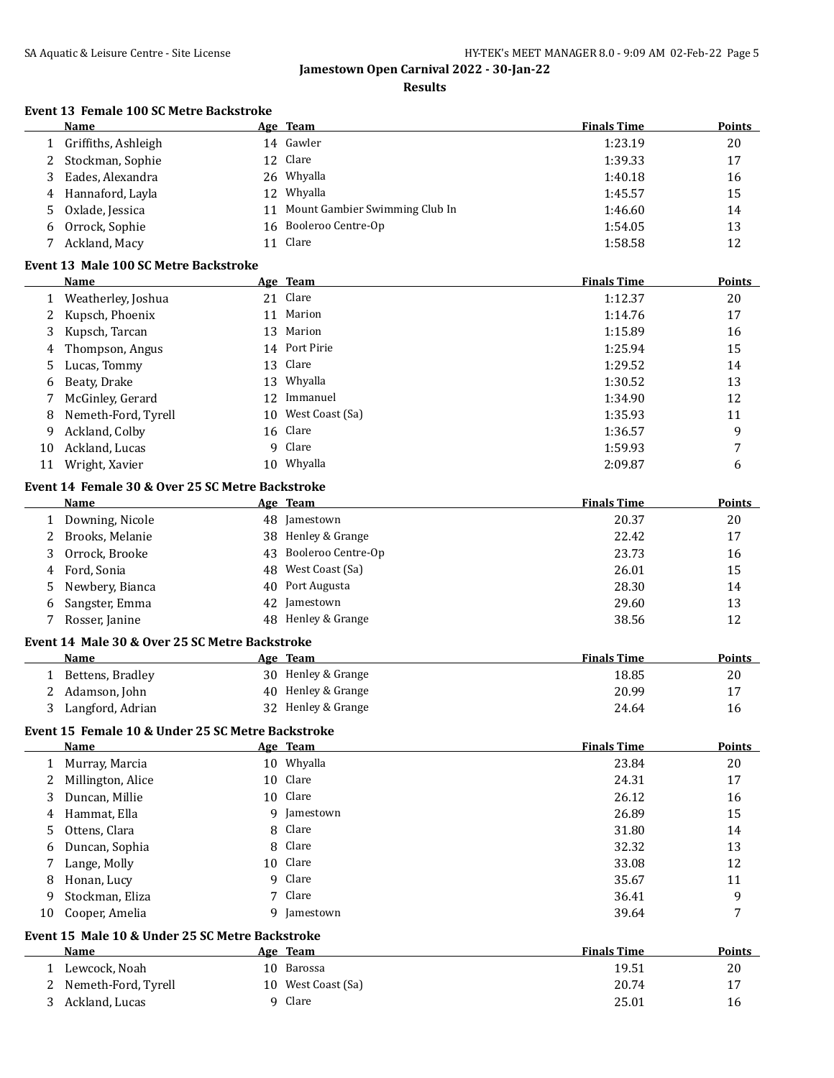**Results**

# **Event 13 Female 100 SC Metre Backstroke**

|        | Name                                                     |          | Age Team                       | <b>Finals Time</b> | <b>Points</b> |
|--------|----------------------------------------------------------|----------|--------------------------------|--------------------|---------------|
| 1      | Griffiths, Ashleigh                                      |          | 14 Gawler                      | 1:23.19            | 20            |
| 2      | Stockman, Sophie                                         |          | 12 Clare                       | 1:39.33            | 17            |
| 3      | Eades, Alexandra                                         |          | 26 Whyalla                     | 1:40.18            | 16            |
| 4      | Hannaford, Layla                                         | 12       | Whyalla                        | 1:45.57            | 15            |
| 5      | Oxlade, Jessica                                          | 11       | Mount Gambier Swimming Club In | 1:46.60            | 14            |
| 6      | Orrock, Sophie                                           |          | 16 Booleroo Centre-Op          | 1:54.05            | 13            |
| 7      | Ackland, Macy                                            |          | 11 Clare                       | 1:58.58            | 12            |
|        | Event 13 Male 100 SC Metre Backstroke                    |          |                                |                    |               |
|        | Name                                                     |          | Age Team                       | <b>Finals Time</b> | <b>Points</b> |
| 1      | Weatherley, Joshua                                       |          | 21 Clare                       | 1:12.37            | 20            |
| 2      | Kupsch, Phoenix                                          |          | 11 Marion                      | 1:14.76            | 17            |
| 3      | Kupsch, Tarcan                                           | 13       | Marion                         | 1:15.89            | 16            |
| 4      | Thompson, Angus                                          |          | 14 Port Pirie                  | 1:25.94            | 15            |
| 5      | Lucas, Tommy                                             |          | 13 Clare                       | 1:29.52            | 14            |
| 6      | Beaty, Drake                                             |          | 13 Whyalla                     | 1:30.52            | 13            |
| 7      | McGinley, Gerard                                         |          | 12 Immanuel                    | 1:34.90            | 12            |
| 8      | Nemeth-Ford, Tyrell                                      |          | 10 West Coast (Sa)             | 1:35.93            | 11            |
| 9      | Ackland, Colby                                           |          | 16 Clare                       | 1:36.57            | 9             |
| 10     | Ackland, Lucas                                           | 9        | Clare                          | 1:59.93            | 7             |
| 11     | Wright, Xavier                                           |          | 10 Whyalla                     | 2:09.87            | 6             |
|        |                                                          |          |                                |                    |               |
|        | Event 14 Female 30 & Over 25 SC Metre Backstroke<br>Name |          | Age Team                       | <b>Finals Time</b> | <b>Points</b> |
|        |                                                          |          | 48 Jamestown                   |                    |               |
| 1<br>2 | Downing, Nicole<br>Brooks, Melanie                       |          | 38 Henley & Grange             | 20.37<br>22.42     | 20<br>17      |
|        |                                                          |          | Booleroo Centre-Op             | 23.73              |               |
| 3      | Orrock, Brooke                                           | 43<br>48 | West Coast (Sa)                | 26.01              | 16<br>15      |
| 4      | Ford, Sonia                                              |          | Port Augusta                   | 28.30              |               |
| 5      | Newbery, Bianca                                          | 40       | Jamestown                      |                    | 14            |
| 6      | Sangster, Emma                                           | 42       | 48 Henley & Grange             | 29.60              | 13            |
| 7      | Rosser, Janine                                           |          |                                | 38.56              | 12            |
|        | Event 14 Male 30 & Over 25 SC Metre Backstroke           |          |                                |                    |               |
|        | Name                                                     |          | Age Team                       | <b>Finals Time</b> | <b>Points</b> |
| 1      | Bettens, Bradley                                         |          | 30 Henley & Grange             | 18.85              | 20            |
| 2      | Adamson, John                                            |          | 40 Henley & Grange             | 20.99              | 17            |
| 3      | Langford, Adrian                                         |          | 32 Henley & Grange             | 24.64              | 16            |
|        | Event 15 Female 10 & Under 25 SC Metre Backstroke        |          |                                |                    |               |
|        | Name                                                     |          | Age Team                       | <b>Finals Time</b> | Points        |
| 1      | Murray, Marcia                                           |          | 10 Whyalla                     | 23.84              | 20            |
| 2      | Millington, Alice                                        |          | 10 Clare                       | 24.31              | 17            |
| 3      | Duncan, Millie                                           |          | 10 Clare                       | 26.12              | 16            |
| 4      | Hammat, Ella                                             | 9        | Jamestown                      | 26.89              | 15            |
| 5      | Ottens, Clara                                            | 8        | Clare                          | 31.80              | 14            |
| 6      | Duncan, Sophia                                           | 8        | Clare                          | 32.32              | 13            |
| 7      | Lange, Molly                                             |          | 10 Clare                       | 33.08              | 12            |
| 8      | Honan, Lucy                                              | 9        | Clare                          | 35.67              | 11            |
| 9      | Stockman, Eliza                                          | 7        | Clare                          | 36.41              | 9             |
| 10     | Cooper, Amelia                                           | 9        | Jamestown                      | 39.64              | 7             |
|        | Event 15 Male 10 & Under 25 SC Metre Backstroke          |          |                                |                    |               |
|        | Name                                                     |          | Age Team                       | <b>Finals Time</b> | <b>Points</b> |
| 1      | Lewcock, Noah                                            |          | 10 Barossa                     | 19.51              | 20            |
| 2      | Nemeth-Ford, Tyrell                                      |          | 10 West Coast (Sa)             | 20.74              | 17            |
| 3      | Ackland, Lucas                                           |          | 9 Clare                        | 25.01              | 16            |
|        |                                                          |          |                                |                    |               |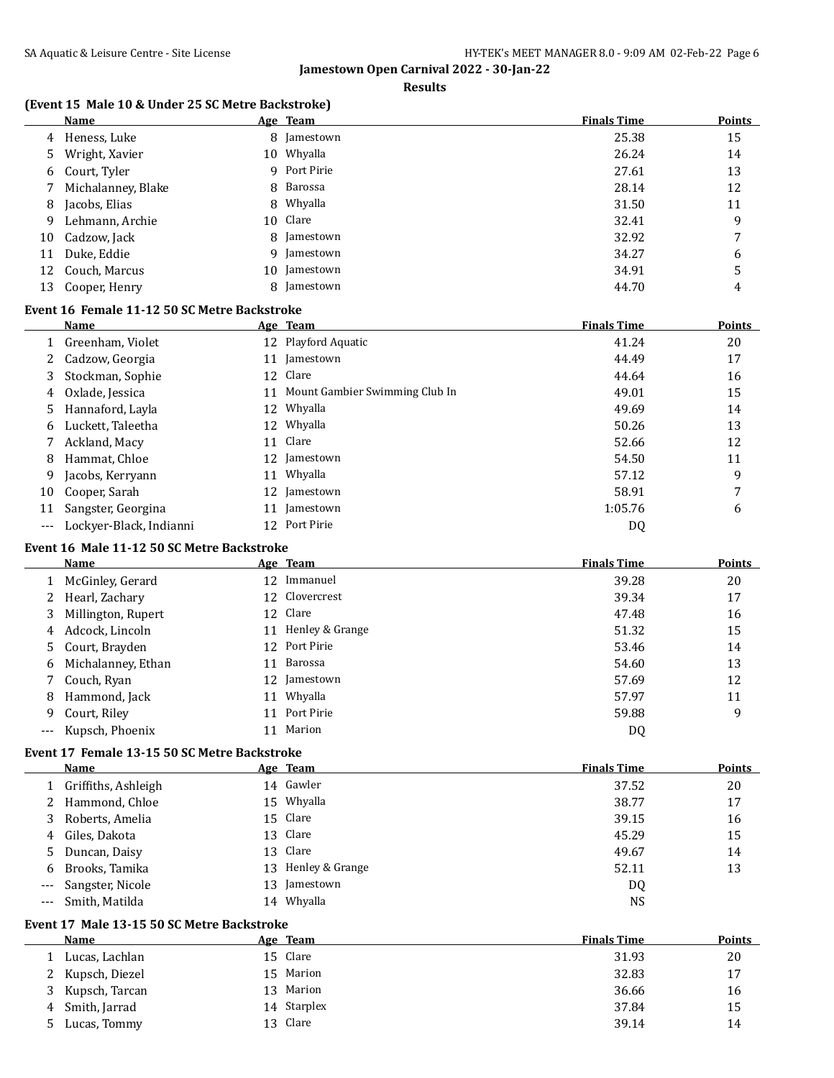#### **Results**

## **(Event 15 Male 10 & Under 25 SC Metre Backstroke)**

|    | <b>Name</b>          |   | Age Team     | <b>Finals Time</b> | <b>Points</b> |
|----|----------------------|---|--------------|--------------------|---------------|
|    | 4 Heness, Luke       |   | 8 Jamestown  | 25.38              | 15            |
| 5  | Wright, Xavier       |   | 10 Whyalla   | 26.24              | 14            |
|    | 6 Court, Tyler       |   | 9 Port Pirie | 27.61              | 13            |
|    | 7 Michalanney, Blake |   | 8 Barossa    | 28.14              | 12            |
| 8  | Jacobs, Elias        |   | 8 Whyalla    | 31.50              | 11            |
| 9  | Lehmann, Archie      |   | 10 Clare     | 32.41              | 9             |
| 10 | Cadzow, Jack         |   | 8 Jamestown  | 32.92              | 7             |
| 11 | Duke, Eddie          |   | 9 Jamestown  | 34.27              | 6             |
| 12 | Couch, Marcus        |   | 10 Jamestown | 34.91              | 5             |
| 13 | Cooper, Henry        | 8 | Jamestown    | 44.70              | 4             |

## **Event 16 Female 11-12 50 SC Metre Backstroke**

|                     | <b>Name</b>             |                 | Age Team                          | <b>Finals Time</b> | <b>Points</b> |
|---------------------|-------------------------|-----------------|-----------------------------------|--------------------|---------------|
|                     | Greenham, Violet        |                 | 12 Playford Aquatic               | 41.24              | 20            |
|                     | Cadzow, Georgia         |                 | 11 Jamestown                      | 44.49              | 17            |
| 3                   | Stockman, Sophie        |                 | 12 Clare                          | 44.64              | 16            |
| 4                   | Oxlade, Jessica         |                 | 11 Mount Gambier Swimming Club In | 49.01              | 15            |
| 5.                  | Hannaford, Layla        |                 | 12 Whyalla                        | 49.69              | 14            |
| 6                   | Luckett, Taleetha       |                 | 12 Whyalla                        | 50.26              | 13            |
|                     | Ackland, Macy           | 11              | Clare                             | 52.66              | 12            |
| 8                   | Hammat, Chloe           |                 | 12 Jamestown                      | 54.50              | 11            |
| 9                   | Jacobs, Kerryann        | 11              | Whyalla                           | 57.12              | 9             |
| 10                  | Cooper, Sarah           |                 | 12 Jamestown                      | 58.91              | 7             |
| 11                  | Sangster, Georgina      |                 | Jamestown                         | 1:05.76            | 6             |
| $\qquad \qquad - -$ | Lockyer-Black, Indianni | 12 <sup>1</sup> | Port Pirie                        | DQ                 |               |

## **Event 16 Male 11-12 50 SC Metre Backstroke**

|   | Name                 |    | Age Team           | <b>Finals Time</b> | <b>Points</b> |
|---|----------------------|----|--------------------|--------------------|---------------|
|   | 1 McGinley, Gerard   |    | 12 Immanuel        | 39.28              | 20            |
|   | 2 Hearl, Zachary     |    | 12 Clovercrest     | 39.34              | 17            |
|   | 3 Millington, Rupert |    | 12 Clare           | 47.48              | 16            |
|   | 4 Adcock, Lincoln    |    | 11 Henley & Grange | 51.32              | 15            |
|   | 5 Court, Brayden     |    | 12 Port Pirie      | 53.46              | 14            |
|   | 6 Michalanney, Ethan | 11 | Barossa            | 54.60              | 13            |
|   | 7 Couch, Ryan        |    | 12 Jamestown       | 57.69              | 12            |
|   | 8 Hammond, Jack      | 11 | Whyalla            | 57.97              | 11            |
| 9 | Court, Riley         |    | 11 Port Pirie      | 59.88              | 9             |
|   | --- Kupsch, Phoenix  | 11 | Marion             | D <sub>0</sub>     |               |

#### **Event 17 Female 13-15 50 SC Metre Backstroke**

|    | Name                 | Age Team           | <b>Finals Time</b> | <b>Points</b> |
|----|----------------------|--------------------|--------------------|---------------|
|    | Griffiths, Ashleigh  | 14 Gawler          | 37.52              | 20            |
|    | 2 Hammond, Chloe     | 15 Whyalla         | 38.77              | 17            |
| 3. | Roberts, Amelia      | 15 Clare           | 39.15              | 16            |
| 4  | Giles, Dakota        | 13 Clare           | 45.29              | 15            |
| 5. | Duncan, Daisy        | 13 Clare           | 49.67              | 14            |
| 6  | Brooks, Tamika       | 13 Henley & Grange | 52.11              | 13            |
|    | --- Sangster, Nicole | 13 Jamestown       | DQ                 |               |
|    | Smith. Matilda       | 14 Whyalla         | <b>NS</b>          |               |

#### **Event 17 Male 13-15 50 SC Metre Backstroke**

|        | Name             | Age Team    | <b>Finals Time</b> | <b>Points</b> |
|--------|------------------|-------------|--------------------|---------------|
|        | Lucas, Lachlan   | 15 Clare    | 31.93              | 20            |
|        | 2 Kupsch, Diezel | 15 Marion   | 32.83              | 17            |
| 3      | Kupsch, Tarcan   | 13 Marion   | 36.66              | 16            |
|        | 4 Smith, Jarrad  | 14 Starplex | 37.84              | 15            |
| $\sim$ | Lucas, Tommy     | 13 Clare    | 39.14              | 14            |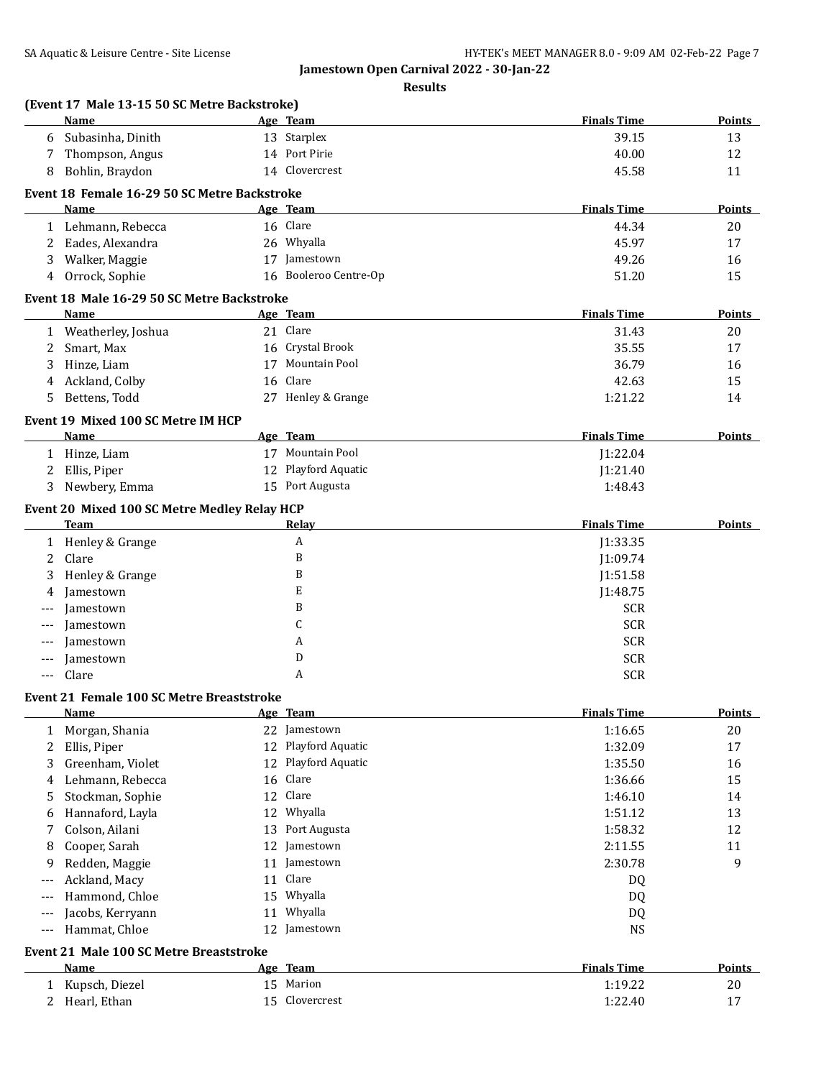**Results**

|       | <b>Name</b>                                                 |    | Age Team              | <b>Finals Time</b> | Points        |
|-------|-------------------------------------------------------------|----|-----------------------|--------------------|---------------|
| 6     | Subasinha, Dinith                                           |    | 13 Starplex           | 39.15              | 13            |
| 7     | Thompson, Angus                                             |    | 14 Port Pirie         | 40.00              | 12            |
| 8     | Bohlin, Braydon                                             |    | 14 Clovercrest        | 45.58              | 11            |
|       | Event 18 Female 16-29 50 SC Metre Backstroke                |    |                       |                    |               |
|       | Name                                                        |    | Age Team              | <b>Finals Time</b> | <b>Points</b> |
|       | 1 Lehmann, Rebecca                                          |    | 16 Clare              | 44.34              | 20            |
|       | 2 Eades, Alexandra                                          |    | 26 Whyalla            | 45.97              | 17            |
| 3     | Walker, Maggie                                              |    | 17 Jamestown          | 49.26              | 16            |
| 4     | Orrock, Sophie                                              |    | 16 Booleroo Centre-Op | 51.20              | 15            |
|       | Event 18 Male 16-29 50 SC Metre Backstroke                  |    |                       |                    |               |
|       | Name                                                        |    | Age Team              | <b>Finals Time</b> | <b>Points</b> |
|       | 1 Weatherley, Joshua                                        |    | 21 Clare              | 31.43              | 20            |
| 2     | Smart, Max                                                  |    | 16 Crystal Brook      | 35.55              | 17            |
| 3     | Hinze, Liam                                                 |    | 17 Mountain Pool      | 36.79              | 16            |
| 4     | Ackland, Colby                                              |    | 16 Clare              | 42.63              | 15            |
| 5     | Bettens, Todd                                               |    | 27 Henley & Grange    | 1:21.22            | 14            |
|       | Event 19 Mixed 100 SC Metre IM HCP<br>Name                  |    | Age Team              | <b>Finals Time</b> | Points        |
|       | 1 Hinze, Liam                                               |    | 17 Mountain Pool      | J1:22.04           |               |
| 2     | Ellis, Piper                                                |    | 12 Playford Aquatic   | 1:21.40            |               |
| 3     | Newbery, Emma                                               |    | 15 Port Augusta       | 1:48.43            |               |
|       |                                                             |    |                       |                    |               |
|       | Event 20 Mixed 100 SC Metre Medley Relay HCP<br><b>Team</b> |    | Relay                 | <b>Finals Time</b> | Points        |
|       | 1 Henley & Grange                                           |    | A                     | J1:33.35           |               |
| 2     | Clare                                                       |    | B                     | J1:09.74           |               |
| 3     | Henley & Grange                                             |    | B                     | J1:51.58           |               |
| 4     | Jamestown                                                   |    | E                     | J1:48.75           |               |
| $---$ | Jamestown                                                   |    | B                     | <b>SCR</b>         |               |
| $---$ | Jamestown                                                   |    | C                     | <b>SCR</b>         |               |
|       | Jamestown                                                   |    | A                     | <b>SCR</b>         |               |
| ---   | Jamestown                                                   |    | D                     | <b>SCR</b>         |               |
| $---$ | Clare                                                       |    | A                     | <b>SCR</b>         |               |
|       | <b>Event 21 Female 100 SC Metre Breaststroke</b>            |    |                       |                    |               |
|       | Name                                                        |    | Age Team              | <b>Finals Time</b> | <u>Points</u> |
| 1     | Morgan, Shania                                              |    | 22 Jamestown          | 1:16.65            | 20            |
| 2     | Ellis, Piper                                                |    | 12 Playford Aquatic   | 1:32.09            | 17            |
| 3     | Greenham, Violet                                            |    | 12 Playford Aquatic   | 1:35.50            | 16            |
| 4     | Lehmann, Rebecca                                            | 16 | Clare                 | 1:36.66            | 15            |
| 5     | Stockman, Sophie                                            | 12 | Clare                 | 1:46.10            | 14            |
| 6     | Hannaford, Layla                                            | 12 | Whyalla               | 1:51.12            | 13            |
| 7     | Colson, Ailani                                              | 13 | Port Augusta          | 1:58.32            | 12            |
| 8     | Cooper, Sarah                                               |    | 12 Jamestown          | 2:11.55            | 11            |
| 9     | Redden, Maggie                                              | 11 | Jamestown             | 2:30.78            | 9             |
| $---$ | Ackland, Macy                                               |    | 11 Clare              | DQ                 |               |
| $---$ | Hammond, Chloe                                              | 15 | Whyalla               | DQ                 |               |
| $---$ | Jacobs, Kerryann                                            |    | 11 Whyalla            | DQ                 |               |
| $---$ | Hammat, Chloe                                               |    | 12 Jamestown          | <b>NS</b>          |               |
|       | Event 21 Male 100 SC Metre Breaststroke                     |    |                       |                    |               |
|       | <b>Name</b>                                                 |    | Age Team<br>15 Marion | <b>Finals Time</b> | <b>Points</b> |
|       | 1 Kupsch, Diezel                                            |    | 15 Clovercrest        | 1:19.22<br>1:22.40 | 20            |
|       | 2 Hearl, Ethan                                              |    |                       |                    | 17            |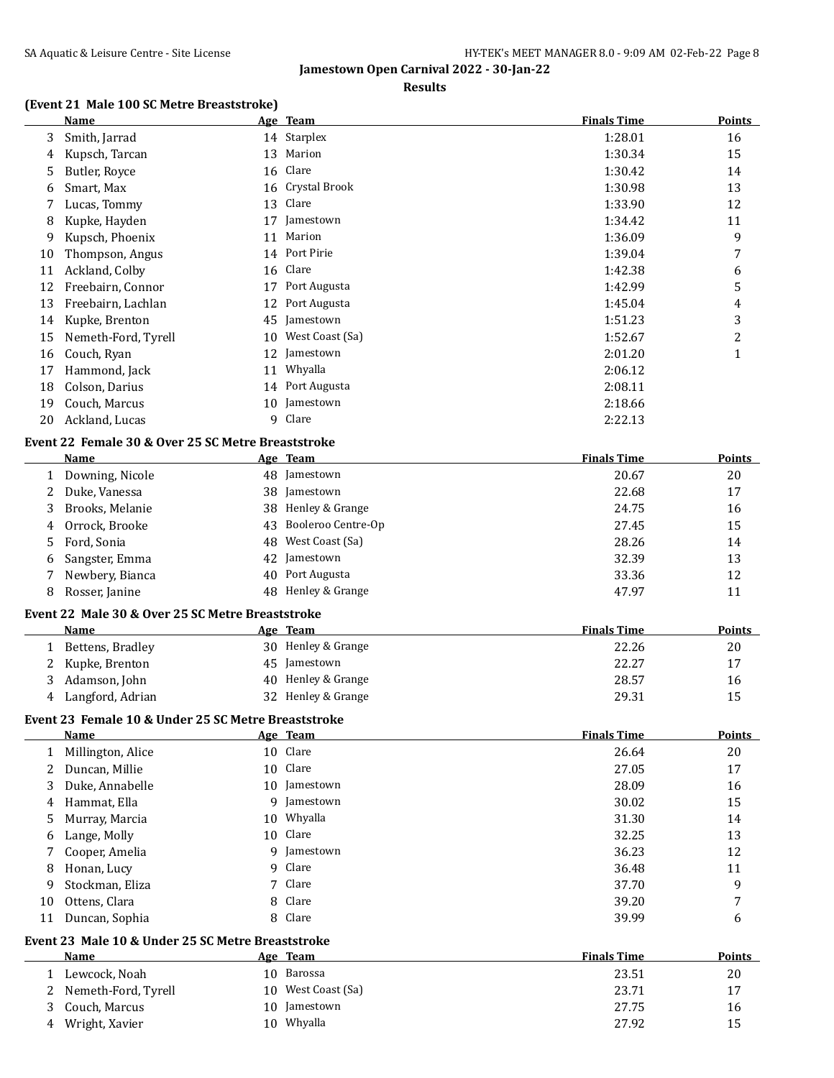#### **Results**

# **(Event 21 Male 100 SC Metre Breaststroke)**

|              | <b>Name</b>                                         |    | Age Team           | <b>Finals Time</b> | <b>Points</b>  |
|--------------|-----------------------------------------------------|----|--------------------|--------------------|----------------|
| 3            | Smith, Jarrad                                       |    | 14 Starplex        | 1:28.01            | 16             |
| 4            | Kupsch, Tarcan                                      |    | 13 Marion          | 1:30.34            | 15             |
| 5            | Butler, Royce                                       |    | 16 Clare           | 1:30.42            | 14             |
| 6            | Smart, Max                                          |    | 16 Crystal Brook   | 1:30.98            | 13             |
| 7            | Lucas, Tommy                                        |    | 13 Clare           | 1:33.90            | 12             |
| 8            | Kupke, Hayden                                       | 17 | Jamestown          | 1:34.42            | 11             |
| 9            | Kupsch, Phoenix                                     | 11 | Marion             | 1:36.09            | 9              |
| 10           | Thompson, Angus                                     |    | 14 Port Pirie      | 1:39.04            | 7              |
| 11           | Ackland, Colby                                      |    | 16 Clare           | 1:42.38            | 6              |
| 12           | Freebairn, Connor                                   |    | 17 Port Augusta    | 1:42.99            | 5              |
| 13           | Freebairn, Lachlan                                  |    | 12 Port Augusta    | 1:45.04            | 4              |
| 14           | Kupke, Brenton                                      |    | 45 Jamestown       | 1:51.23            | 3              |
| 15           | Nemeth-Ford, Tyrell                                 |    | 10 West Coast (Sa) | 1:52.67            | $\overline{c}$ |
| 16           | Couch, Ryan                                         |    | 12 Jamestown       | 2:01.20            | $\mathbf{1}$   |
| 17           | Hammond, Jack                                       |    | 11 Whyalla         | 2:06.12            |                |
| 18           | Colson, Darius                                      |    | 14 Port Augusta    | 2:08.11            |                |
| 19           | Couch, Marcus                                       |    | 10 Jamestown       | 2:18.66            |                |
| 20           | Ackland, Lucas                                      |    | 9 Clare            | 2:22.13            |                |
|              |                                                     |    |                    |                    |                |
|              | Event 22 Female 30 & Over 25 SC Metre Breaststroke  |    |                    |                    |                |
|              | <b>Name</b>                                         |    | Age Team           | <b>Finals Time</b> | <b>Points</b>  |
| $\mathbf{1}$ | Downing, Nicole                                     |    | 48 Jamestown       | 20.67              | 20             |
| 2            | Duke, Vanessa                                       |    | 38 Jamestown       | 22.68              | 17             |
| 3            | Brooks, Melanie                                     |    | 38 Henley & Grange | 24.75              | 16             |
| 4            | Orrock, Brooke                                      | 43 | Booleroo Centre-Op | 27.45              | 15             |
| 5            | Ford, Sonia                                         | 48 | West Coast (Sa)    | 28.26              | 14             |
| 6            | Sangster, Emma                                      |    | 42 Jamestown       | 32.39              | 13             |
| 7            | Newbery, Bianca                                     |    | 40 Port Augusta    | 33.36              | 12             |
| 8            | Rosser, Janine                                      |    | 48 Henley & Grange | 47.97              | 11             |
|              | Event 22 Male 30 & Over 25 SC Metre Breaststroke    |    |                    |                    |                |
|              | <b>Name</b>                                         |    | Age Team           | <b>Finals Time</b> | <b>Points</b>  |
|              | 1 Bettens, Bradley                                  |    | 30 Henley & Grange | 22.26              | 20             |
| 2            | Kupke, Brenton                                      |    | 45 Jamestown       | 22.27              | 17             |
| 3            | Adamson, John                                       |    | 40 Henley & Grange | 28.57              | 16             |
| 4            | Langford, Adrian                                    |    | 32 Henley & Grange | 29.31              | 15             |
|              | Event 23 Female 10 & Under 25 SC Metre Breaststroke |    |                    |                    |                |
|              | <u>Name</u>                                         |    | Age Team           | <b>Finals Time</b> | <b>Points</b>  |
| $\mathbf{1}$ | Millington, Alice                                   |    | 10 Clare           | 26.64              | 20             |
| 2            | Duncan, Millie                                      |    | 10 Clare           | 27.05              | 17             |
| 3            | Duke, Annabelle                                     |    | 10 Jamestown       | 28.09              | 16             |
| 4            | Hammat, Ella                                        | 9. | Jamestown          | 30.02              | 15             |
| 5            | Murray, Marcia                                      | 10 | Whyalla            | 31.30              | 14             |
| 6            | Lange, Molly                                        | 10 | Clare              | 32.25              | 13             |
| 7            | Cooper, Amelia                                      | 9  | Jamestown          | 36.23              | 12             |
| 8            | Honan, Lucy                                         | 9  | Clare              | 36.48              | 11             |
| 9            | Stockman, Eliza                                     | 7  | Clare              | 37.70              | 9              |
| 10           | Ottens, Clara                                       | 8  | Clare              | 39.20              | 7              |
| 11           | Duncan, Sophia                                      | 8  | Clare              | 39.99              | 6              |
|              |                                                     |    |                    |                    |                |
|              | Event 23 Male 10 & Under 25 SC Metre Breaststroke   |    |                    |                    |                |
|              | <b>Name</b>                                         |    | Age Team           | <b>Finals Time</b> | Points         |
|              | 1 Lewcock, Noah                                     |    | 10 Barossa         | 23.51              | 20             |
| 2            | Nemeth-Ford, Tyrell                                 |    | 10 West Coast (Sa) | 23.71              | 17             |
| 3            | Couch, Marcus                                       |    | 10 Jamestown       | 27.75              | 16             |
|              | 4 Wright, Xavier                                    |    | 10 Whyalla         | 27.92              | 15             |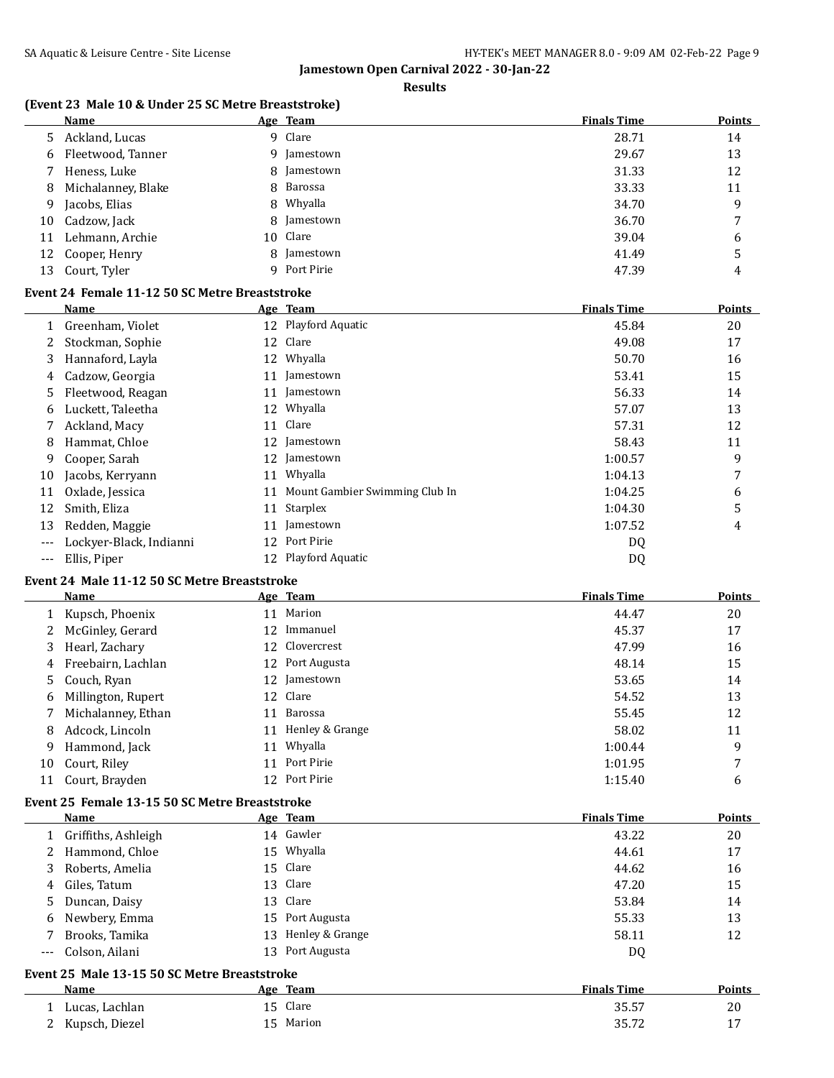**Results**

## **(Event 23 Male 10 & Under 25 SC Metre Breaststroke)**

|     | Name               | <u>Age Team</u> | <b>Finals Time</b> | <b>Points</b>  |
|-----|--------------------|-----------------|--------------------|----------------|
| 5.  | Ackland, Lucas     | 9 Clare         | 28.71              | 14             |
| 6   | Fleetwood, Tanner  | 9 Jamestown     | 29.67              | 13             |
|     | Heness, Luke       | 8 Jamestown     | 31.33              | 12             |
| 8   | Michalanney, Blake | 8 Barossa       | 33.33              | 11             |
| 9   | Jacobs, Elias      | 8 Whyalla       | 34.70              | 9              |
| 10  | Cadzow, Jack       | 8 Jamestown     | 36.70              | $\overline{ }$ |
| 11  | Lehmann, Archie    | 10 Clare        | 39.04              | 6              |
|     | 12 Cooper, Henry   | 8 Jamestown     | 41.49              | 5              |
| 13. | Court, Tyler       | 9 Port Pirie    | 47.39              | 4              |

## **Event 24 Female 11-12 50 SC Metre Breaststroke**

|       | Name                    |    | Age Team                       | <b>Finals Time</b> | <b>Points</b> |
|-------|-------------------------|----|--------------------------------|--------------------|---------------|
| 1     | Greenham, Violet        |    | 12 Playford Aquatic            | 45.84              | 20            |
|       | Stockman, Sophie        | 12 | Clare                          | 49.08              | 17            |
| 3     | Hannaford, Layla        | 12 | Whyalla                        | 50.70              | 16            |
| 4     | Cadzow, Georgia         | 11 | Jamestown                      | 53.41              | 15            |
| 5.    | Fleetwood, Reagan       |    | 11 Jamestown                   | 56.33              | 14            |
| 6     | Luckett, Taleetha       | 12 | Whyalla                        | 57.07              | 13            |
|       | Ackland, Macy           | 11 | Clare                          | 57.31              | 12            |
| 8     | Hammat, Chloe           | 12 | Jamestown                      | 58.43              | 11            |
| 9     | Cooper, Sarah           | 12 | Jamestown                      | 1:00.57            | 9             |
| 10    | Jacobs, Kerryann        | 11 | Whyalla                        | 1:04.13            | 7             |
| 11    | Oxlade, Jessica         | 11 | Mount Gambier Swimming Club In | 1:04.25            | 6             |
| 12    | Smith, Eliza            | 11 | Starplex                       | 1:04.30            | 5             |
| 13    | Redden, Maggie          |    | Jamestown                      | 1:07.52            | 4             |
|       | Lockyer-Black, Indianni | 12 | Port Pirie                     | DQ                 |               |
| $---$ | Ellis, Piper            |    | 12 Playford Aquatic            | DQ                 |               |

# **Event 24 Male 11-12 50 SC Metre Breaststroke**

|    | Name                 |    | Age Team           | <b>Finals Time</b> | <b>Points</b> |
|----|----------------------|----|--------------------|--------------------|---------------|
|    | 1 Kupsch, Phoenix    | 11 | Marion             | 44.47              | 20            |
|    | 2 McGinley, Gerard   |    | 12 Immanuel        | 45.37              | 17            |
|    | 3 Hearl, Zachary     |    | 12 Clovercrest     | 47.99              | 16            |
|    | 4 Freebairn, Lachlan |    | 12 Port Augusta    | 48.14              | 15            |
|    | 5 Couch, Ryan        |    | 12 Jamestown       | 53.65              | 14            |
|    | 6 Millington, Rupert |    | 12 Clare           | 54.52              | 13            |
|    | 7 Michalanney, Ethan | 11 | Barossa            | 55.45              | 12            |
| 8  | Adcock, Lincoln      |    | 11 Henley & Grange | 58.02              | 11            |
| 9  | Hammond, Jack        | 11 | Whyalla            | 1:00.44            | 9             |
| 10 | Court, Riley         | 11 | Port Pirie         | 1:01.95            | 7             |
| 11 | Court, Brayden       |    | 12 Port Pirie      | 1:15.40            | 6             |

## **Event 25 Female 13-15 50 SC Metre Breaststroke**

| Name                  | Age Team           | <b>Finals Time</b> | <b>Points</b> |
|-----------------------|--------------------|--------------------|---------------|
| 1 Griffiths, Ashleigh | 14 Gawler          | 43.22              | 20            |
| 2 Hammond, Chloe      | Whyalla<br>15      | 44.61              | 17            |
| 3 Roberts, Amelia     | 15 Clare           | 44.62              | 16            |
| 4 Giles, Tatum        | 13 Clare           | 47.20              | 15            |
| 5 Duncan, Daisy       | 13 Clare           | 53.84              | 14            |
| 6 Newbery, Emma       | 15 Port Augusta    | 55.33              | 13            |
| Brooks, Tamika        | 13 Henley & Grange | 58.11              | 12            |
| Colson, Ailani        | 13 Port Augusta    | DQ                 |               |

# **Event 25 Male 13-15 50 SC Metre Breaststroke**

| Name                | Team<br>Age | <b>Finals Time</b> | <b>Points</b> |
|---------------------|-------------|--------------------|---------------|
| Lucas, Lachlan      | Clare       | 35.57              | 20            |
| Kupsch, Diezel<br>∼ | Marion      | 35.72              | <b>.</b>      |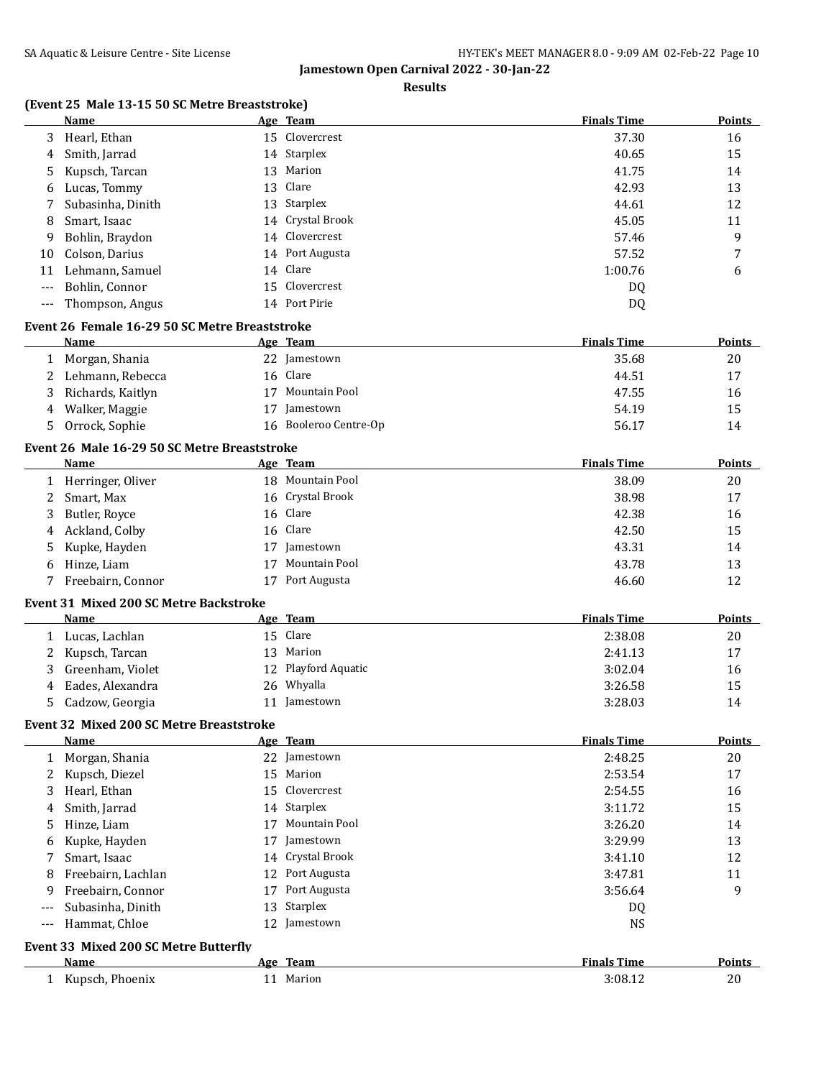#### **Results**

# **(Event 25 Male 13-15 50 SC Metre Breaststroke)**

|              | Name                                           |    | Age Team             | <b>Finals Time</b> | <b>Points</b> |
|--------------|------------------------------------------------|----|----------------------|--------------------|---------------|
| 3            | Hearl, Ethan                                   |    | 15 Clovercrest       | 37.30              | 16            |
| 4            | Smith, Jarrad                                  |    | 14 Starplex          | 40.65              | 15            |
| 5            | Kupsch, Tarcan                                 | 13 | Marion               | 41.75              | 14            |
| 6            | Lucas, Tommy                                   | 13 | Clare                | 42.93              | 13            |
| 7            | Subasinha, Dinith                              | 13 | Starplex             | 44.61              | 12            |
| 8            | Smart, Isaac                                   |    | 14 Crystal Brook     | 45.05              | 11            |
| 9            | Bohlin, Braydon                                | 14 | Clovercrest          | 57.46              | 9             |
| 10           | Colson, Darius                                 | 14 | Port Augusta         | 57.52              | 7             |
| 11           | Lehmann, Samuel                                | 14 | Clare                | 1:00.76            | 6             |
| ---          | Bohlin, Connor                                 | 15 | Clovercrest          | DQ                 |               |
|              |                                                |    | 14 Port Pirie        |                    |               |
| $---$        | Thompson, Angus                                |    |                      | DQ                 |               |
|              | Event 26 Female 16-29 50 SC Metre Breaststroke |    |                      |                    |               |
|              | Name                                           |    | Age Team             | <b>Finals Time</b> | <b>Points</b> |
|              | 1 Morgan, Shania                               |    | 22 Jamestown         | 35.68              | 20            |
| 2            | Lehmann, Rebecca                               |    | 16 Clare             | 44.51              | 17            |
| 3            | Richards, Kaitlyn                              |    | 17 Mountain Pool     | 47.55              | 16            |
| 4            | Walker, Maggie                                 |    | 17 Jamestown         | 54.19              | 15            |
| 5            | Orrock, Sophie                                 | 16 | Booleroo Centre-Op   | 56.17              | 14            |
|              | Event 26 Male 16-29 50 SC Metre Breaststroke   |    |                      |                    |               |
|              | <b>Name</b>                                    |    | Age Team             | <b>Finals Time</b> | <b>Points</b> |
|              | 1 Herringer, Oliver                            |    | 18 Mountain Pool     | 38.09              | 20            |
| 2            | Smart, Max                                     |    | 16 Crystal Brook     | 38.98              | 17            |
| 3            | Butler, Royce                                  | 16 | Clare                | 42.38              | 16            |
| 4            | Ackland, Colby                                 | 16 | Clare                | 42.50              | 15            |
| 5            | Kupke, Hayden                                  | 17 | Jamestown            | 43.31              | 14            |
| 6            | Hinze, Liam                                    | 17 | Mountain Pool        | 43.78              | 13            |
| 7            | Freebairn, Connor                              |    | 17 Port Augusta      | 46.60              | 12            |
|              |                                                |    |                      |                    |               |
|              | Event 31 Mixed 200 SC Metre Backstroke         |    |                      |                    |               |
|              | Name                                           |    | Age Team             | <b>Finals Time</b> | Points        |
|              | 1 Lucas, Lachlan                               |    | 15 Clare             | 2:38.08            | 20            |
| 2            | Kupsch, Tarcan                                 |    | 13 Marion            | 2:41.13            | 17            |
| 3            | Greenham, Violet                               |    | 12 Playford Aquatic  | 3:02.04            | 16            |
| 4            | Eades, Alexandra                               |    | 26 Whyalla           | 3:26.58            | 15            |
| 5            | Cadzow, Georgia                                |    | 11 Jamestown         | 3:28.03            | 14            |
|              | Event 32 Mixed 200 SC Metre Breaststroke       |    |                      |                    |               |
|              | <u>Name</u>                                    |    | Age Team             | <b>Finals Time</b> | <b>Points</b> |
| $\mathbf{1}$ | Morgan, Shania                                 |    | 22 Jamestown         | 2:48.25            | 20            |
| 2            | Kupsch, Diezel                                 | 15 | Marion               | 2:53.54            | 17            |
| 3            | Hearl, Ethan                                   |    | 15 Clovercrest       | 2:54.55            | 16            |
| 4            | Smith, Jarrad                                  |    | 14 Starplex          | 3:11.72            | 15            |
| 5            | Hinze, Liam                                    | 17 | <b>Mountain Pool</b> | 3:26.20            | 14            |
| 6            | Kupke, Hayden                                  | 17 | Jamestown            | 3:29.99            | 13            |
| 7            | Smart, Isaac                                   | 14 | Crystal Brook        | 3:41.10            | 12            |
| 8            | Freebairn, Lachlan                             |    | 12 Port Augusta      | 3:47.81            | 11            |
| 9            | Freebairn, Connor                              |    | 17 Port Augusta      | 3:56.64            | 9             |
|              | Subasinha, Dinith                              | 13 | Starplex             |                    |               |
| ---          |                                                |    |                      | DQ                 |               |
| $---$        | Hammat, Chloe                                  |    | 12 Jamestown         | <b>NS</b>          |               |
|              | Event 33 Mixed 200 SC Metre Butterfly          |    |                      |                    |               |
|              | <b>Name</b>                                    |    | Age Team             | <b>Finals Time</b> | Points        |
|              | 1 Kupsch, Phoenix                              |    | 11 Marion            | 3:08.12            | 20            |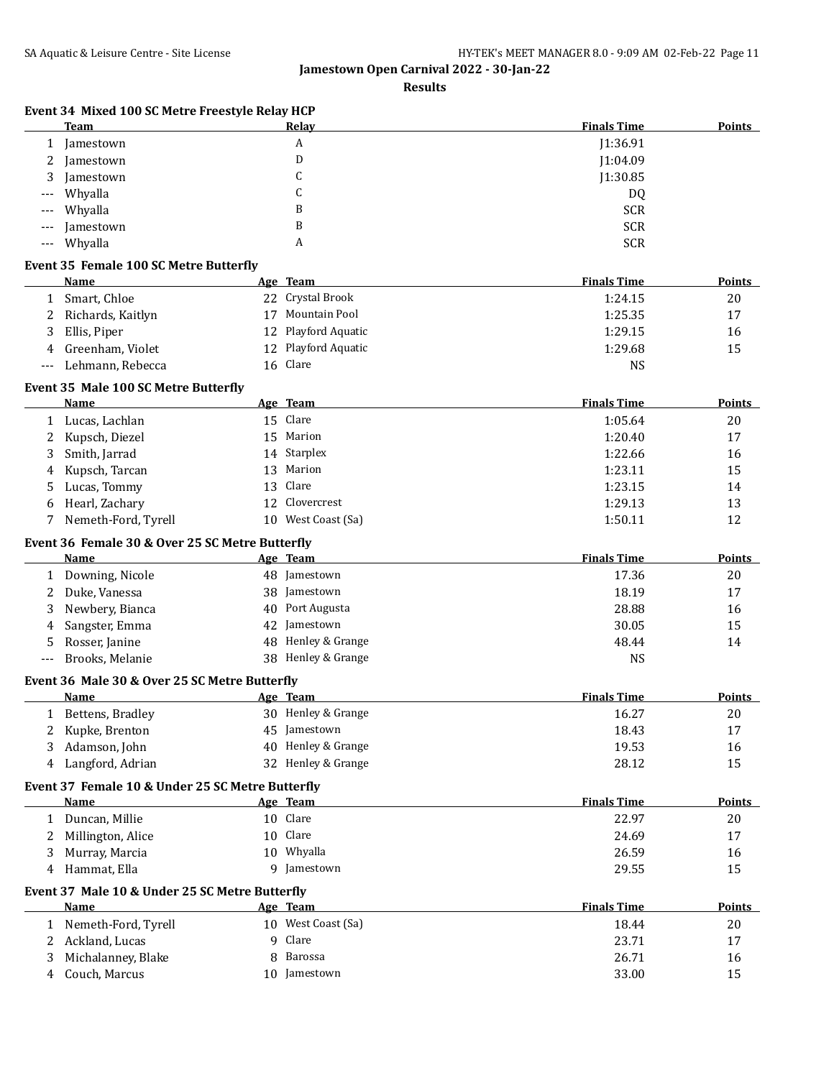**Results**

| Event 34 Mixed 100 SC Metre Freestyle Relay HCP |
|-------------------------------------------------|
|                                                 |

|              | <b>Team</b>                                      |    | Relay                | <b>Finals Time</b> | <b>Points</b> |
|--------------|--------------------------------------------------|----|----------------------|--------------------|---------------|
| 1            | Jamestown                                        |    | А                    | J1:36.91           |               |
| 2            | Jamestown                                        |    | D                    | J1:04.09           |               |
| 3            | Jamestown                                        |    | C                    | J1:30.85           |               |
|              | Whyalla                                          |    | C                    | DQ                 |               |
|              | Whyalla                                          |    | B                    | <b>SCR</b>         |               |
|              | Jamestown                                        |    | B                    | <b>SCR</b>         |               |
| $---$        | Whyalla                                          |    | A                    | <b>SCR</b>         |               |
|              | <b>Event 35 Female 100 SC Metre Butterfly</b>    |    |                      |                    |               |
|              | Name                                             |    | Age Team             | <b>Finals Time</b> | Points        |
| $\mathbf{1}$ | Smart, Chloe                                     | 22 | Crystal Brook        | 1:24.15            | 20            |
| 2            | Richards, Kaitlyn                                | 17 | <b>Mountain Pool</b> | 1:25.35            | 17            |
| 3            | Ellis, Piper                                     | 12 | Playford Aquatic     | 1:29.15            | 16            |
| 4            | Greenham, Violet                                 | 12 | Playford Aquatic     | 1:29.68            | 15            |
| $---$        | Lehmann, Rebecca                                 |    | 16 Clare             | <b>NS</b>          |               |
|              |                                                  |    |                      |                    |               |
|              | Event 35 Male 100 SC Metre Butterfly             |    |                      |                    |               |
|              | <b>Name</b>                                      |    | Age Team             | <b>Finals Time</b> | <b>Points</b> |
| 1            | Lucas, Lachlan                                   | 15 | Clare                | 1:05.64            | 20            |
| 2            | Kupsch, Diezel                                   | 15 | Marion               | 1:20.40            | 17            |
| 3            | Smith, Jarrad                                    | 14 | Starplex             | 1:22.66            | 16            |
| 4            | Kupsch, Tarcan                                   | 13 | Marion               | 1:23.11            | 15            |
| 5            | Lucas, Tommy                                     | 13 | Clare                | 1:23.15            | 14            |
| 6            | Hearl, Zachary                                   | 12 | Clovercrest          | 1:29.13            | 13            |
| 7            | Nemeth-Ford, Tyrell                              |    | 10 West Coast (Sa)   | 1:50.11            | 12            |
|              | Event 36 Female 30 & Over 25 SC Metre Butterfly  |    |                      |                    |               |
|              | Name                                             |    | Age Team             | <b>Finals Time</b> | <b>Points</b> |
| $\mathbf{1}$ | Downing, Nicole                                  |    | 48 Jamestown         | 17.36              | 20            |
| 2            | Duke, Vanessa                                    |    | 38 Jamestown         | 18.19              | 17            |
| 3            | Newbery, Bianca                                  | 40 | Port Augusta         | 28.88              | 16            |
| 4            | Sangster, Emma                                   | 42 | Jamestown            | 30.05              | 15            |
| 5            | Rosser, Janine                                   | 48 | Henley & Grange      | 48.44              | 14            |
| ---          | Brooks, Melanie                                  |    | 38 Henley & Grange   | <b>NS</b>          |               |
|              | Event 36 Male 30 & Over 25 SC Metre Butterfly    |    |                      |                    |               |
|              | Name                                             |    | Age Team             | <b>Finals Time</b> | <b>Points</b> |
| 1            | Bettens, Bradley                                 |    | 30 Henley & Grange   | 16.27              | 20            |
|              | Kupke, Brenton                                   |    | 45 Jamestown         | 18.43              | 17            |
| 3            | Adamson, John                                    |    | 40 Henley & Grange   | 19.53              | 16            |
| 4            | Langford, Adrian                                 |    | 32 Henley & Grange   | 28.12              | 15            |
|              | Event 37 Female 10 & Under 25 SC Metre Butterfly |    |                      |                    |               |
|              | Name                                             |    | Age Team             | <b>Finals Time</b> | <b>Points</b> |
| $\mathbf{1}$ | Duncan, Millie                                   |    | 10 Clare             | 22.97              | 20            |
| 2            | Millington, Alice                                |    | 10 Clare             | 24.69              | 17            |
| 3            | Murray, Marcia                                   |    | 10 Whyalla           | 26.59              |               |
| 4            | Hammat, Ella                                     |    | 9 Jamestown          | 29.55              | 16<br>15      |
|              |                                                  |    |                      |                    |               |
|              | Event 37 Male 10 & Under 25 SC Metre Butterfly   |    |                      |                    |               |
|              | Name                                             |    | Age Team             | <b>Finals Time</b> | <b>Points</b> |
|              | 1 Nemeth-Ford, Tyrell                            |    | 10 West Coast (Sa)   | 18.44              | 20            |
| 2            | Ackland, Lucas                                   | 9  | Clare                | 23.71              | 17            |
| 3            | Michalanney, Blake                               | 8  | Barossa              | 26.71              | 16            |
| 4            | Couch, Marcus                                    |    | 10 Jamestown         | 33.00              | 15            |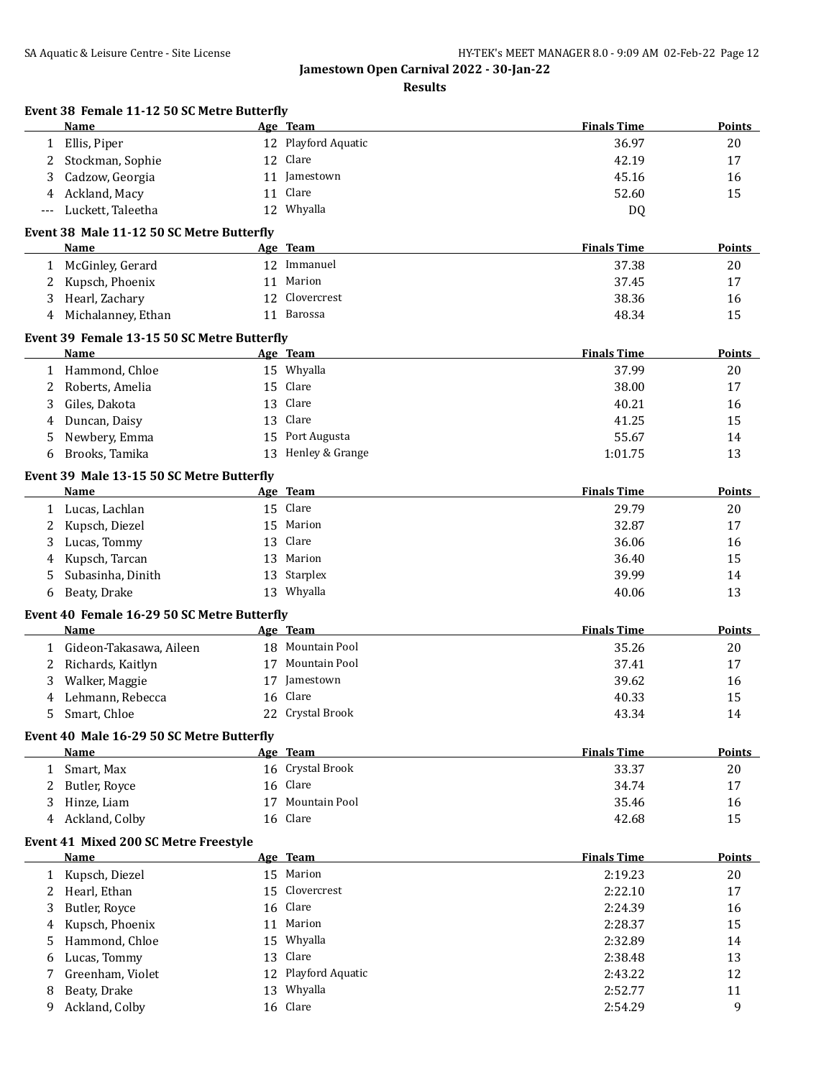**Results**

|              | Event 38 Female 11-12 50 SC Metre Butterfly<br>Name        |    | Age Team            | <b>Finals Time</b> | Points        |
|--------------|------------------------------------------------------------|----|---------------------|--------------------|---------------|
| 1            | Ellis, Piper                                               |    | 12 Playford Aquatic | 36.97              | 20            |
| 2            | Stockman, Sophie                                           | 12 | Clare               | 42.19              | 17            |
| 3            | Cadzow, Georgia                                            | 11 | Jamestown           | 45.16              | 16            |
| 4            | Ackland, Macy                                              | 11 | Clare               | 52.60              | 15            |
| ---          | Luckett, Taleetha                                          |    | 12 Whyalla          | DQ                 |               |
|              | Event 38 Male 11-12 50 SC Metre Butterfly                  |    |                     |                    |               |
|              | Name                                                       |    | Age Team            | <b>Finals Time</b> | <b>Points</b> |
| 1            | McGinley, Gerard                                           |    | 12 Immanuel         | 37.38              | 20            |
| 2            | Kupsch, Phoenix                                            | 11 | Marion              | 37.45              | 17            |
| 3            | Hearl, Zachary                                             | 12 | Clovercrest         | 38.36              | 16            |
| 4            | Michalanney, Ethan                                         | 11 | Barossa             | 48.34              | 15            |
|              |                                                            |    |                     |                    |               |
|              | Event 39 Female 13-15 50 SC Metre Butterfly<br><b>Name</b> |    | Age Team            | <b>Finals Time</b> | Points        |
|              | 1 Hammond, Chloe                                           |    | 15 Whyalla          | 37.99              | 20            |
| 2            | Roberts, Amelia                                            | 15 | Clare               | 38.00              | 17            |
| 3            | Giles, Dakota                                              | 13 | Clare               | 40.21              | 16            |
| 4            | Duncan, Daisy                                              | 13 | Clare               | 41.25              | 15            |
| 5            | Newbery, Emma                                              | 15 | Port Augusta        | 55.67              | 14            |
| 6            | Brooks, Tamika                                             |    | 13 Henley & Grange  | 1:01.75            | 13            |
|              |                                                            |    |                     |                    |               |
|              | Event 39 Male 13-15 50 SC Metre Butterfly<br>Name          |    | Age Team            | <b>Finals Time</b> | <b>Points</b> |
|              | 1 Lucas, Lachlan                                           |    | 15 Clare            | 29.79              | 20            |
| 2            | Kupsch, Diezel                                             | 15 | Marion              | 32.87              | 17            |
| 3            | Lucas, Tommy                                               | 13 | Clare               | 36.06              | 16            |
| 4            | Kupsch, Tarcan                                             | 13 | Marion              | 36.40              | 15            |
| 5            | Subasinha, Dinith                                          |    | 13 Starplex         | 39.99              | 14            |
| 6            | Beaty, Drake                                               |    | 13 Whyalla          | 40.06              | 13            |
|              |                                                            |    |                     |                    |               |
|              | Event 40 Female 16-29 50 SC Metre Butterfly<br>Name        |    | Age Team            | <b>Finals Time</b> | <b>Points</b> |
| $\mathbf{1}$ | Gideon-Takasawa, Aileen                                    |    | 18 Mountain Pool    | 35.26              | 20            |
| 2            | Richards, Kaitlyn                                          |    | 17 Mountain Pool    | 37.41              | 17            |
| 3            | Walker, Maggie                                             |    | 17 Jamestown        | 39.62              | 16            |
| 4            | Lehmann, Rebecca                                           |    | 16 Clare            | 40.33              | 15            |
| 5            | Smart, Chloe                                               |    | 22 Crystal Brook    | 43.34              | 14            |
|              | Event 40 Male 16-29 50 SC Metre Butterfly                  |    |                     |                    |               |
|              | Name                                                       |    | Age Team            | <b>Finals Time</b> | <b>Points</b> |
|              | 1 Smart, Max                                               |    | 16 Crystal Brook    | 33.37              | 20            |
| 2            | Butler, Royce                                              |    | 16 Clare            | 34.74              | 17            |
| 3            | Hinze, Liam                                                | 17 | Mountain Pool       | 35.46              | 16            |
| 4            | Ackland, Colby                                             |    | 16 Clare            | 42.68              | 15            |
|              | Event 41 Mixed 200 SC Metre Freestyle                      |    |                     |                    |               |
|              | Name                                                       |    | Age Team            | <b>Finals Time</b> | <b>Points</b> |
| $\mathbf{1}$ | Kupsch, Diezel                                             |    | 15 Marion           | 2:19.23            | 20            |
| 2            | Hearl, Ethan                                               | 15 | Clovercrest         | 2:22.10            | 17            |
| 3            | Butler, Royce                                              | 16 | Clare               | 2:24.39            | 16            |
| 4            | Kupsch, Phoenix                                            | 11 | Marion              | 2:28.37            | 15            |
| 5            | Hammond, Chloe                                             | 15 | Whyalla             | 2:32.89            | 14            |
| 6            | Lucas, Tommy                                               | 13 | Clare               | 2:38.48            | 13            |
| 7            | Greenham, Violet                                           |    | 12 Playford Aquatic | 2:43.22            | 12            |
| 8            | Beaty, Drake                                               |    | 13 Whyalla          | 2:52.77            | 11            |
| 9            | Ackland, Colby                                             |    | 16 Clare            | 2:54.29            | 9             |
|              |                                                            |    |                     |                    |               |